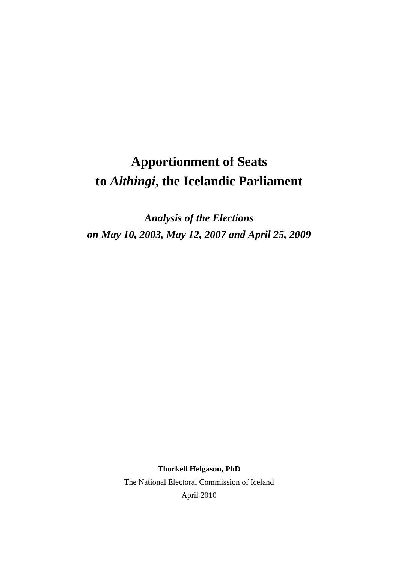# **Apportionment of Seats to** *Althingi***, the Icelandic Parliament**

*Analysis of the Elections on May 10, 2003, May 12, 2007 and April 25, 2009* 

> **Thorkell Helgason, PhD**  The National Electoral Commission of Iceland April 2010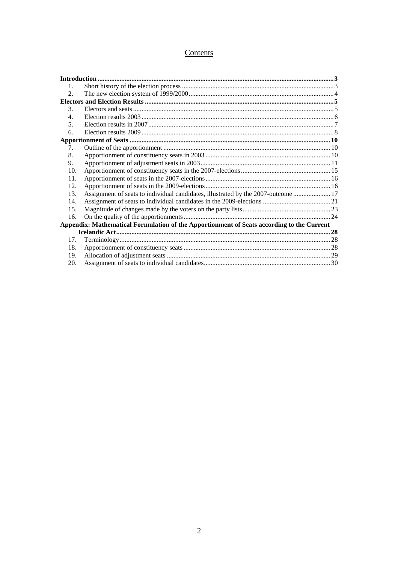## Contents

| 1.                              |                                                                                           |  |
|---------------------------------|-------------------------------------------------------------------------------------------|--|
| 2.                              |                                                                                           |  |
|                                 |                                                                                           |  |
| $\mathcal{E}$                   |                                                                                           |  |
| $\overline{4}$ .                |                                                                                           |  |
| 5.                              |                                                                                           |  |
| 6.                              |                                                                                           |  |
|                                 |                                                                                           |  |
| $7_{\scriptscriptstyle{\circ}}$ |                                                                                           |  |
| 8.                              |                                                                                           |  |
| 9.                              |                                                                                           |  |
| 10.                             |                                                                                           |  |
| 11.                             |                                                                                           |  |
| 12.                             |                                                                                           |  |
| 13.                             | Assignment of seats to individual candidates, illustrated by the 2007-outcome  17         |  |
| 14.                             |                                                                                           |  |
| 15.                             |                                                                                           |  |
| 16.                             |                                                                                           |  |
|                                 | Appendix: Mathematical Formulation of the Apportionment of Seats according to the Current |  |
|                                 |                                                                                           |  |
| 17.                             |                                                                                           |  |
| 18.                             |                                                                                           |  |
| 19.                             |                                                                                           |  |
| 20.                             |                                                                                           |  |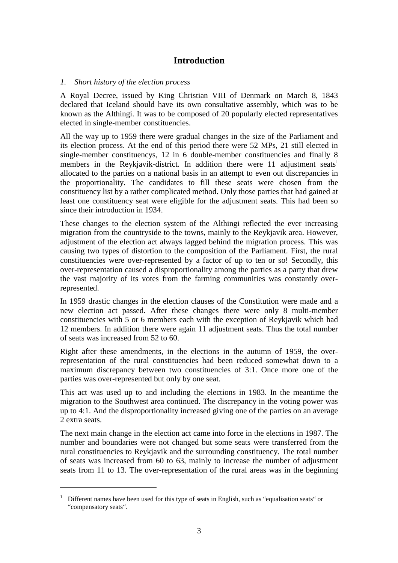## **Introduction**

#### *1. Short history of the election process*

A Royal Decree, issued by King Christian VIII of Denmark on March 8, 1843 declared that Iceland should have its own consultative assembly, which was to be known as the Althingi. It was to be composed of 20 popularly elected representatives elected in single-member constituencies.

All the way up to 1959 there were gradual changes in the size of the Parliament and its election process. At the end of this period there were 52 MPs, 21 still elected in single-member constituencys, 12 in 6 double-member constituencies and finally 8 members in the Reykjavik-district. In addition there were  $11$  adjustment seats<sup>1</sup> allocated to the parties on a national basis in an attempt to even out discrepancies in the proportionality. The candidates to fill these seats were chosen from the constituency list by a rather complicated method. Only those parties that had gained at least one constituency seat were eligible for the adjustment seats. This had been so since their introduction in 1934.

These changes to the election system of the Althingi reflected the ever increasing migration from the countryside to the towns, mainly to the Reykjavik area. However, adjustment of the election act always lagged behind the migration process. This was causing two types of distortion to the composition of the Parliament. First, the rural constituencies were over-represented by a factor of up to ten or so! Secondly, this over-representation caused a disproportionality among the parties as a party that drew the vast majority of its votes from the farming communities was constantly overrepresented.

In 1959 drastic changes in the election clauses of the Constitution were made and a new election act passed. After these changes there were only 8 multi-member constituencies with 5 or 6 members each with the exception of Reykjavik which had 12 members. In addition there were again 11 adjustment seats. Thus the total number of seats was increased from 52 to 60.

Right after these amendments, in the elections in the autumn of 1959, the overrepresentation of the rural constituencies had been reduced somewhat down to a maximum discrepancy between two constituencies of 3:1. Once more one of the parties was over-represented but only by one seat.

This act was used up to and including the elections in 1983. In the meantime the migration to the Southwest area continued. The discrepancy in the voting power was up to 4:1. And the disproportionality increased giving one of the parties on an average 2 extra seats.

The next main change in the election act came into force in the elections in 1987. The number and boundaries were not changed but some seats were transferred from the rural constituencies to Reykjavik and the surrounding constituency. The total number of seats was increased from 60 to 63, mainly to increase the number of adjustment seats from 11 to 13. The over-representation of the rural areas was in the beginning

<sup>&</sup>lt;sup>1</sup> Different names have been used for this type of seats in English, such as "equalisation seats" or "compensatory seats".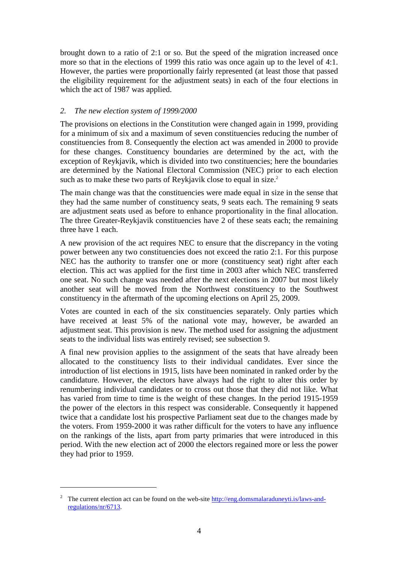brought down to a ratio of 2:1 or so. But the speed of the migration increased once more so that in the elections of 1999 this ratio was once again up to the level of 4:1. However, the parties were proportionally fairly represented (at least those that passed the eligibility requirement for the adjustment seats) in each of the four elections in which the act of 1987 was applied.

#### *2. The new election system of 1999/2000*

The provisions on elections in the Constitution were changed again in 1999, providing for a minimum of six and a maximum of seven constituencies reducing the number of constituencies from 8. Consequently the election act was amended in 2000 to provide for these changes. Constituency boundaries are determined by the act, with the exception of Reykjavik, which is divided into two constituencies; here the boundaries are determined by the National Electoral Commission (NEC) prior to each election such as to make these two parts of Reykjavik close to equal in size.<sup>2</sup>

The main change was that the constituencies were made equal in size in the sense that they had the same number of constituency seats, 9 seats each. The remaining 9 seats are adjustment seats used as before to enhance proportionality in the final allocation. The three Greater-Reykjavik constituencies have 2 of these seats each; the remaining three have 1 each.

A new provision of the act requires NEC to ensure that the discrepancy in the voting power between any two constituencies does not exceed the ratio 2:1. For this purpose NEC has the authority to transfer one or more (constituency seat) right after each election. This act was applied for the first time in 2003 after which NEC transferred one seat. No such change was needed after the next elections in 2007 but most likely another seat will be moved from the Northwest constituency to the Southwest constituency in the aftermath of the upcoming elections on April 25, 2009.

Votes are counted in each of the six constituencies separately. Only parties which have received at least 5% of the national vote may, however, be awarded an adjustment seat. This provision is new. The method used for assigning the adjustment seats to the individual lists was entirely revised; see subsection 9.

A final new provision applies to the assignment of the seats that have already been allocated to the constituency lists to their individual candidates. Ever since the introduction of list elections in 1915, lists have been nominated in ranked order by the candidature. However, the electors have always had the right to alter this order by renumbering individual candidates or to cross out those that they did not like. What has varied from time to time is the weight of these changes. In the period 1915-1959 the power of the electors in this respect was considerable. Consequently it happened twice that a candidate lost his prospective Parliament seat due to the changes made by the voters. From 1959-2000 it was rather difficult for the voters to have any influence on the rankings of the lists, apart from party primaries that were introduced in this period. With the new election act of 2000 the electors regained more or less the power they had prior to 1959.

<sup>&</sup>lt;sup>2</sup> The current election act can be found on the web-site  $\frac{http://eng.domsmalaraduneyti.is/laws-and$ regulations/nr/6713.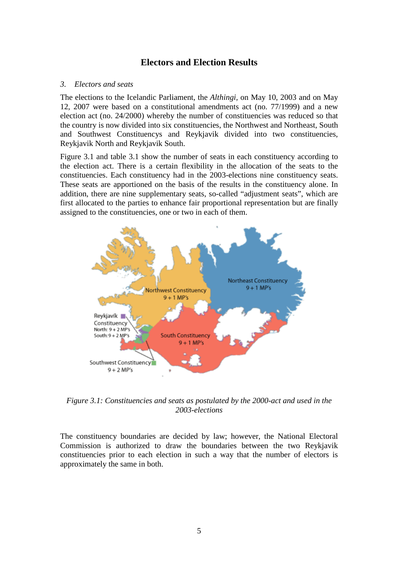## **Electors and Election Results**

#### *3. Electors and seats*

The elections to the Icelandic Parliament, the *Althingi,* on May 10, 2003 and on May 12, 2007 were based on a constitutional amendments act (no. 77/1999) and a new election act (no. 24/2000) whereby the number of constituencies was reduced so that the country is now divided into six constituencies, the Northwest and Northeast, South and Southwest Constituencys and Reykjavik divided into two constituencies, Reykjavik North and Reykjavik South.

Figure 3.1 and table 3.1 show the number of seats in each constituency according to the election act. There is a certain flexibility in the allocation of the seats to the constituencies. Each constituency had in the 2003-elections nine constituency seats. These seats are apportioned on the basis of the results in the constituency alone. In addition, there are nine supplementary seats, so-called "adjustment seats", which are first allocated to the parties to enhance fair proportional representation but are finally assigned to the constituencies, one or two in each of them.



*Figure 3.1: Constituencies and seats as postulated by the 2000-act and used in the 2003-elections* 

The constituency boundaries are decided by law; however, the National Electoral Commission is authorized to draw the boundaries between the two Reykjavik constituencies prior to each election in such a way that the number of electors is approximately the same in both.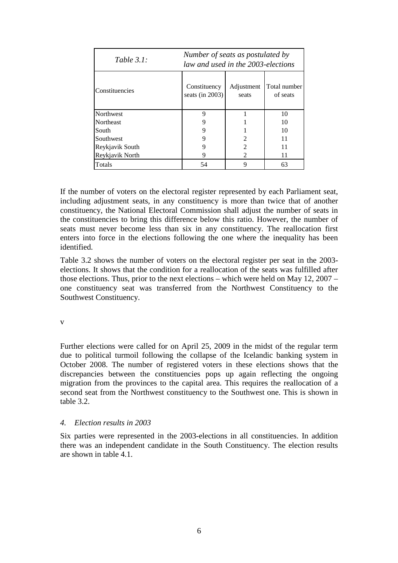| Table $3.1:$     | Number of seats as postulated by<br>law and used in the 2003-elections |                     |                          |  |  |  |  |
|------------------|------------------------------------------------------------------------|---------------------|--------------------------|--|--|--|--|
| Constituencies   | Constituency<br>seats (in 2003)                                        | Adjustment<br>seats | Total number<br>of seats |  |  |  |  |
| Northwest        | 9                                                                      |                     | 10                       |  |  |  |  |
| <b>Northeast</b> |                                                                        |                     | 10                       |  |  |  |  |
| South            | 9                                                                      |                     | 10                       |  |  |  |  |
| Southwest        |                                                                        | 2                   | 11                       |  |  |  |  |
| Reykjavik South  |                                                                        | 2                   | 11                       |  |  |  |  |
| Reykjavik North  | 9                                                                      | $\mathfrak{D}$      | 11                       |  |  |  |  |
| <b>Totals</b>    | 54                                                                     | 9                   | 63                       |  |  |  |  |

If the number of voters on the electoral register represented by each Parliament seat, including adjustment seats, in any constituency is more than twice that of another constituency, the National Electoral Commission shall adjust the number of seats in the constituencies to bring this difference below this ratio. However, the number of seats must never become less than six in any constituency. The reallocation first enters into force in the elections following the one where the inequality has been identified.

Table 3.2 shows the number of voters on the electoral register per seat in the 2003 elections. It shows that the condition for a reallocation of the seats was fulfilled after those elections. Thus, prior to the next elections – which were held on May 12, 2007 – one constituency seat was transferred from the Northwest Constituency to the Southwest Constituency.

v

Further elections were called for on April 25, 2009 in the midst of the regular term due to political turmoil following the collapse of the Icelandic banking system in October 2008. The number of registered voters in these elections shows that the discrepancies between the constituencies pops up again reflecting the ongoing migration from the provinces to the capital area. This requires the reallocation of a second seat from the Northwest constituency to the Southwest one. This is shown in table 3.2.

#### *4. Election results in 2003*

Six parties were represented in the 2003-elections in all constituencies. In addition there was an independent candidate in the South Constituency. The election results are shown in table 4.1.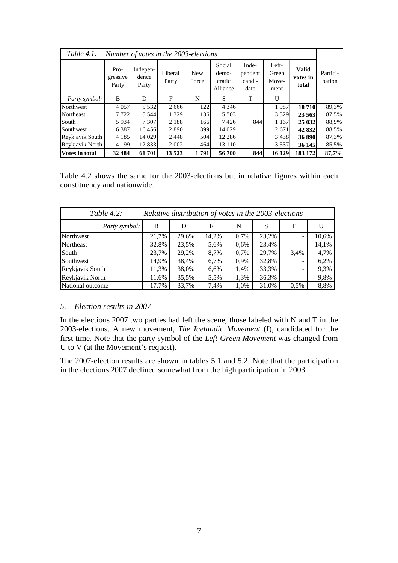| Table $4.1$ :<br>Number of votes in the 2003-elections |                           |                            |                  |                     |                                       |                                    |                                 |                                   |                    |
|--------------------------------------------------------|---------------------------|----------------------------|------------------|---------------------|---------------------------------------|------------------------------------|---------------------------------|-----------------------------------|--------------------|
|                                                        | Pro-<br>gressive<br>Party | Indepen-<br>dence<br>Party | Liberal<br>Party | <b>New</b><br>Force | Social<br>demo-<br>cratic<br>Alliance | Inde-<br>pendent<br>candi-<br>date | Left-<br>Green<br>Move-<br>ment | <b>Valid</b><br>votes in<br>total | Partici-<br>pation |
| Party symbol:                                          | B                         | D                          | F                | N                   | S                                     | T                                  | U                               |                                   |                    |
| Northwest                                              | 4 0 5 7                   | 5 5 3 2                    | 2666             | 122                 | 4 3 4 6                               |                                    | 1987                            | 18710                             | 89,3%              |
| Northeast                                              | 7722                      | 5 5 4 4                    | 1 3 2 9          | 136                 | 5 5 0 3                               |                                    | 3 3 2 9                         | 23 5 63                           | 87,5%              |
| South                                                  | 5 9 3 4                   | 7 3 0 7                    | 2 1 8 8          | 166                 | 7426                                  | 844                                | 1 1 6 7                         | 25 032                            | 88,9%              |
| Southwest                                              | 6 3 8 7                   | 16456                      | 2890             | 399                 | 14 029                                |                                    | 2 6 7 1                         | 42 832                            | 88,5%              |
| Reykjavik South                                        | 4 1 8 5                   | 14 0 29                    | 2448             | 504                 | 12 2 8 6                              |                                    | 3438                            | 36 890                            | 87,3%              |
| Reykjavik North                                        | 4 1 9 9                   | 12 833                     | 2 0 0 2          | 464                 | 13 1 10                               |                                    | 3 5 3 7                         | 36 145                            | 85,5%              |
| <b>Votes in total</b>                                  | 32 484                    | 61701                      | 13 5 23          | 1791                | 56 700                                | 844                                | 16 129                          | 183 172                           | 87,7%              |

Table 4.2 shows the same for the 2003-elections but in relative figures within each constituency and nationwide.

| Table $4.2$ :    | Relative distribution of votes in the 2003-elections |       |       |      |       |      |       |  |
|------------------|------------------------------------------------------|-------|-------|------|-------|------|-------|--|
| Party symbol:    | B                                                    | D     | F     | N    | S     | т    |       |  |
| Northwest        | 21,7%                                                | 29,6% | 14,2% | 0,7% | 23,2% |      | 10,6% |  |
| Northeast        | 32,8%                                                | 23,5% | 5,6%  | 0,6% | 23,4% |      | 14,1% |  |
| South            | 23,7%                                                | 29,2% | 8,7%  | 0,7% | 29,7% | 3,4% | 4,7%  |  |
| Southwest        | 14,9%                                                | 38,4% | 6,7%  | 0,9% | 32,8% |      | 6,2%  |  |
| Reykjavik South  | 11,3%                                                | 38,0% | 6,6%  | 1,4% | 33,3% |      | 9,3%  |  |
| Reykjavik North  | 11,6%                                                | 35,5% | 5,5%  | 1,3% | 36,3% |      | 9,8%  |  |
| National outcome | 17,7%                                                | 33,7% | 7,4%  | 1,0% | 31,0% | 0.5% | 8,8%  |  |

#### *5. Election results in 2007*

In the elections 2007 two parties had left the scene, those labeled with N and T in the 2003-elections. A new movement, *The Icelandic Movement* (I), candidated for the first time. Note that the party symbol of the *Left-Green Movement* was changed from U to V (at the Movement's request).

The 2007-election results are shown in tables 5.1 and 5.2. Note that the participation in the elections 2007 declined somewhat from the high participation in 2003.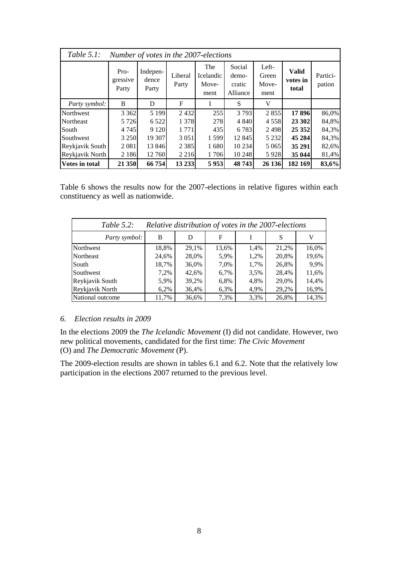| Table $5.1$ :         |                           | Number of votes in the 2007-elections |                  |                                   |                                       |                                 |                                   |                    |
|-----------------------|---------------------------|---------------------------------------|------------------|-----------------------------------|---------------------------------------|---------------------------------|-----------------------------------|--------------------|
|                       | Pro-<br>gressive<br>Party | Indepen-<br>dence<br>Party            | Liberal<br>Party | The<br>Icelandic<br>Move-<br>ment | Social<br>demo-<br>cratic<br>Alliance | Left-<br>Green<br>Move-<br>ment | <b>Valid</b><br>votes in<br>total | Partici-<br>pation |
| <i>Party symbol:</i>  | B                         | D                                     | F                |                                   | S                                     | V                               |                                   |                    |
| Northwest             | 3 3 6 2                   | 5 1 9 9                               | 2432             | 255                               | 3 7 9 3                               | 2855                            | 17 896                            | 86,0%              |
| <b>Northeast</b>      | 5 7 2 6                   | 6 5 2 2                               | 1 378            | 278                               | 4 8 4 0                               | 4558                            | 23 302                            | 84,8%              |
| South                 | 4 7 4 5                   | 9 1 2 0                               | 1 771            | 435                               | 6 7 8 3                               | 2498                            | 25 3 5 2                          | 84,3%              |
| Southwest             | 3 2 5 0                   | 19 307                                | 3 0 5 1          | 1599                              | 12 845                                | 5 2 3 2                         | 45 284                            | 84,3%              |
| Reykjavik South       | 2 0 8 1                   | 13 846                                | 2 3 8 5          | 1680                              | 10 234                                | 5 0 6 5                         | 35 291                            | 82,6%              |
| Reykjavik North       | 2 1 8 6                   | 12 760                                | 2 2 1 6          | 1706                              | 10 248                                | 5928                            | 35 044                            | 81,4%              |
| <b>Votes in total</b> | 21 350                    | 66 754                                | 13 233           | 5953                              | 48 743                                | 26 136                          | 182 169                           | 83,6%              |

Table 6 shows the results now for the 2007-elections in relative figures within each constituency as well as nationwide.

| Table $5.2$ :<br>Relative distribution of votes in the 2007-elections |       |       |       |      |       |       |  |  |  |
|-----------------------------------------------------------------------|-------|-------|-------|------|-------|-------|--|--|--|
| Party symbol:                                                         | B     | D     | F     |      | S     | V     |  |  |  |
| Northwest                                                             | 18,8% | 29,1% | 13,6% | 1,4% | 21,2% | 16,0% |  |  |  |
| Northeast                                                             | 24,6% | 28,0% | 5,9%  | 1,2% | 20,8% | 19,6% |  |  |  |
| South                                                                 | 18,7% | 36,0% | 7,0%  | 1,7% | 26,8% | 9,9%  |  |  |  |
| Southwest                                                             | 7,2%  | 42,6% | 6,7%  | 3,5% | 28,4% | 11,6% |  |  |  |
| Reykjavik South                                                       | 5,9%  | 39,2% | 6,8%  | 4,8% | 29,0% | 14,4% |  |  |  |
| Reykjavik North                                                       | 6,2%  | 36,4% | 6,3%  | 4,9% | 29,2% | 16,9% |  |  |  |
| National outcome                                                      | 11,7% | 36,6% | 7,3%  | 3,3% | 26,8% | 14,3% |  |  |  |

#### *6. Election results in 2009*

In the elections 2009 the *The Icelandic Movement* (I) did not candidate. However, two new political movements, candidated for the first time: *The Civic Movement*  (O) and *The Democratic Movement* (P).

The 2009-election results are shown in tables 6.1 and 6.2. Note that the relatively low participation in the elections 2007 returned to the previous level.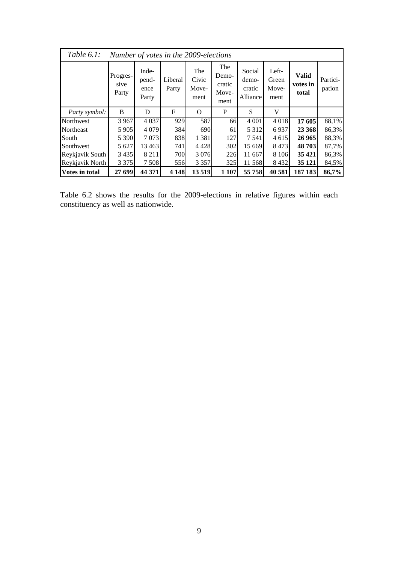| Table $6.1$ :         | Number of votes in the 2009-elections |                                 |                  |                               |                                         |                                       |                                 |                                   |                    |  |
|-----------------------|---------------------------------------|---------------------------------|------------------|-------------------------------|-----------------------------------------|---------------------------------------|---------------------------------|-----------------------------------|--------------------|--|
|                       | Progres-<br>sive<br>Party             | Inde-<br>pend-<br>ence<br>Party | Liberal<br>Party | The<br>Civic<br>Move-<br>ment | The<br>Demo-<br>cratic<br>Move-<br>ment | Social<br>demo-<br>cratic<br>Alliance | Left-<br>Green<br>Move-<br>ment | <b>Valid</b><br>votes in<br>total | Partici-<br>pation |  |
| Party symbol:         | B                                     | D                               | F                | $\Omega$                      | P                                       | S                                     | V                               |                                   |                    |  |
| Northwest             | 3 9 6 7                               | 4 0 3 7                         | 929              | 587                           | 66                                      | 4 0 0 1                               | 4 0 1 8                         | 17 605                            | 88,1%              |  |
| Northeast             | 5 9 0 5                               | 4 0 7 9                         | 384              | 690                           | 61                                      | 5 3 1 2                               | 6937                            | 23 368                            | 86,3%              |  |
| South                 | 5 3 9 0                               | 7073                            | 838              | 1 3 8 1                       | 127                                     | 7 5 4 1                               | 4 615                           | 26 965                            | 88,3%              |  |
| Southwest             | 5 6 27                                | 13 4 63                         | 741              | 4428                          | 302                                     | 15 669                                | 8473                            | 48 703                            | 87,7%              |  |
| Reykjavik South       | 3 4 3 5                               | 8 2 1 1                         | 700              | 3 0 7 6                       | 226                                     | 11 667                                | 8 1 0 6                         | 35 4 21                           | 86,3%              |  |
| Reykjavik North       | 3 3 7 5                               | 7 5 0 8                         | 556              | 3 3 5 7                       | 325                                     | 11 568                                | 8 4 3 2                         | 35 1 21                           | 84,5%              |  |
| <b>Votes in total</b> | 27 699                                | 44 371                          | 4 1 4 8          | 13519                         | 1 107                                   | 55 758                                | 40 581                          | 187 183                           | 86,7%              |  |

Table 6.2 shows the results for the 2009-elections in relative figures within each constituency as well as nationwide.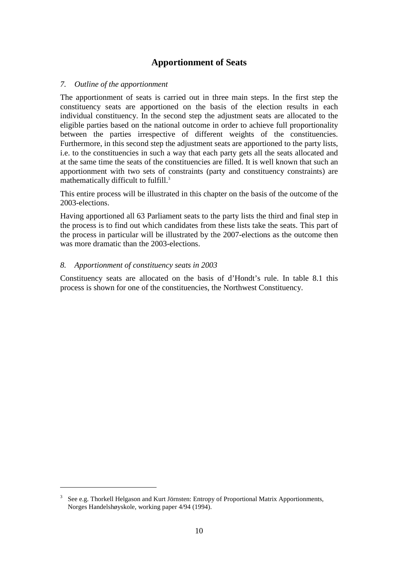## **Apportionment of Seats**

#### *7. Outline of the apportionment*

The apportionment of seats is carried out in three main steps. In the first step the constituency seats are apportioned on the basis of the election results in each individual constituency. In the second step the adjustment seats are allocated to the eligible parties based on the national outcome in order to achieve full proportionality between the parties irrespective of different weights of the constituencies. Furthermore, in this second step the adjustment seats are apportioned to the party lists, i.e. to the constituencies in such a way that each party gets all the seats allocated and at the same time the seats of the constituencies are filled. It is well known that such an apportionment with two sets of constraints (party and constituency constraints) are mathematically difficult to fulfill.<sup>3</sup>

This entire process will be illustrated in this chapter on the basis of the outcome of the 2003-elections.

Having apportioned all 63 Parliament seats to the party lists the third and final step in the process is to find out which candidates from these lists take the seats. This part of the process in particular will be illustrated by the 2007-elections as the outcome then was more dramatic than the 2003-elections.

#### *8. Apportionment of constituency seats in 2003*

 $\overline{a}$ 

Constituency seats are allocated on the basis of d'Hondt's rule. In table 8.1 this process is shown for one of the constituencies, the Northwest Constituency.

<sup>&</sup>lt;sup>3</sup> See e.g. Thorkell Helgason and Kurt Jörnsten: Entropy of Proportional Matrix Apportionments, Norges Handelshøyskole, working paper 4/94 (1994).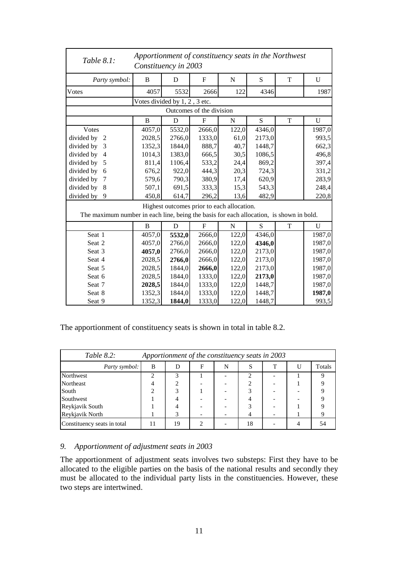| Table 8.1:                                                                              | Apportionment of constituency seats in the Northwest<br>Constituency in 2003 |                               |                          |                                            |        |   |             |  |
|-----------------------------------------------------------------------------------------|------------------------------------------------------------------------------|-------------------------------|--------------------------|--------------------------------------------|--------|---|-------------|--|
| Party symbol:                                                                           | B                                                                            | D                             | $\mathbf{F}$             | N                                          | S      | T | U           |  |
| Votes                                                                                   | 4057                                                                         | 5532                          | 2666                     | 122                                        | 4346   |   | 1987        |  |
|                                                                                         |                                                                              | Votes divided by 1, 2, 3 etc. |                          |                                            |        |   |             |  |
|                                                                                         |                                                                              |                               | Outcomes of the division |                                            |        |   |             |  |
|                                                                                         | B                                                                            | D                             | $\mathbf F$              | N                                          | S      | T | U           |  |
| Votes                                                                                   | 4057,0                                                                       | 5532,0                        | 2666,0                   | 122,0                                      | 4346,0 |   | 1987,0      |  |
| divided by<br>$\overline{2}$                                                            | 2028,5                                                                       | 2766,0                        | 1333,0                   | 61,0                                       | 2173,0 |   | 993,5       |  |
| divided by<br>3                                                                         | 1352,3                                                                       | 1844,0                        | 888,7                    | 40,7                                       | 1448,7 |   | 662,3       |  |
| divided by<br>$\overline{4}$                                                            | 1014,3                                                                       | 1383,0                        | 666,5                    | 30,5                                       | 1086,5 |   | 496,8       |  |
| divided by<br>5                                                                         | 811,4                                                                        | 1106,4                        | 533,2                    | 24,4                                       | 869,2  |   | 397,4       |  |
| divided by<br>6                                                                         | 676,2                                                                        | 922,0                         | 444,3                    | 20,3                                       | 724,3  |   | 331,2       |  |
| divided by<br>7                                                                         | 579,6                                                                        | 790,3                         | 380,9                    | 17,4                                       | 620,9  |   | 283,9       |  |
| divided by<br>8                                                                         | 507,1                                                                        | 691,5                         | 333,3                    | 15,3                                       | 543,3  |   | 248,4       |  |
| divided by<br>9                                                                         | 450,8                                                                        | 614,7                         | 296,2                    | 13,6                                       | 482,9  |   | 220,8       |  |
| The maximum number in each line, being the basis for each allocation, is shown in bold. |                                                                              |                               |                          | Highest outcomes prior to each allocation. |        |   |             |  |
|                                                                                         | B                                                                            | D                             | $\mathbf F$              | $\mathbf N$                                | S      | T | $\mathbf U$ |  |
| Seat 1                                                                                  | 4057,0                                                                       | 5532,0                        | 2666,0                   | 122,0                                      | 4346,0 |   | 1987,0      |  |
| Seat 2                                                                                  | 4057,0                                                                       | 2766,0                        | 2666,0                   | 122,0                                      | 4346,0 |   | 1987,0      |  |
| Seat 3                                                                                  | 4057,0                                                                       | 2766,0                        | 2666,0                   | 122,0                                      | 2173,0 |   | 1987,0      |  |
| Seat 4                                                                                  | 2028,5                                                                       | 2766,0                        | 2666,0                   | 122,0                                      | 2173,0 |   | 1987,0      |  |
| Seat 5                                                                                  | 2028,5                                                                       | 1844,0                        | 2666,0                   | 122,0                                      | 2173,0 |   | 1987,0      |  |
| Seat 6                                                                                  | 2028,5                                                                       | 1844,0                        | 1333,0                   | 122,0                                      | 2173,0 |   | 1987,0      |  |
| Seat 7                                                                                  | 2028,5                                                                       | 1844,0                        | 1333,0                   | 122,0                                      | 1448,7 |   | 1987,0      |  |
| Seat 8                                                                                  | 1352,3                                                                       | 1844,0                        | 1333,0                   | 122,0                                      | 1448,7 |   | 1987,0      |  |
| Seat 9                                                                                  | 1352,3                                                                       | 1844,0                        | 1333,0                   | 122,0                                      | 1448,7 |   | 993,5       |  |

The apportionment of constituency seats is shown in total in table 8.2.

| Table $8.2$ :<br>Apportionment of the constituency seats in 2003 |   |    |   |   |    |  |  |        |
|------------------------------------------------------------------|---|----|---|---|----|--|--|--------|
| Party symbol:                                                    | B |    | F | N |    |  |  | Totals |
| Northwest                                                        |   | 3  |   |   | 2  |  |  |        |
| Northeast                                                        |   | ◠  |   |   |    |  |  |        |
| South                                                            |   | 3  |   |   |    |  |  |        |
| Southwest                                                        |   |    |   |   |    |  |  |        |
| Reykjavik South                                                  |   |    |   |   |    |  |  |        |
| Reykjavik North                                                  |   |    |   |   |    |  |  |        |
| Constituency seats in total                                      |   | 19 | ∍ |   | 18 |  |  | 54     |

#### *9. Apportionment of adjustment seats in 2003*

The apportionment of adjustment seats involves two substeps: First they have to be allocated to the eligible parties on the basis of the national results and secondly they must be allocated to the individual party lists in the constituencies. However, these two steps are intertwined.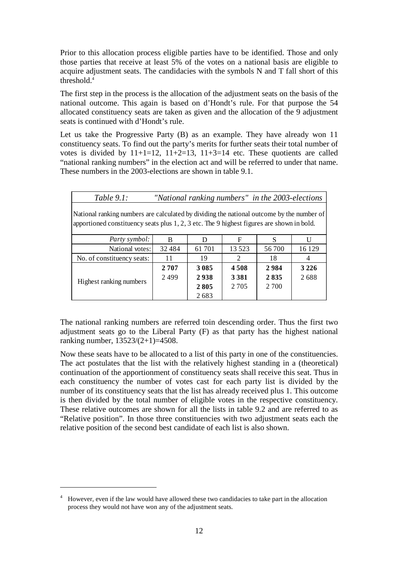Prior to this allocation process eligible parties have to be identified. Those and only those parties that receive at least 5% of the votes on a national basis are eligible to acquire adjustment seats. The candidacies with the symbols N and T fall short of this threshold.<sup>4</sup>

The first step in the process is the allocation of the adjustment seats on the basis of the national outcome. This again is based on d'Hondt's rule. For that purpose the 54 allocated constituency seats are taken as given and the allocation of the 9 adjustment seats is continued with d'Hondt's rule.

Let us take the Progressive Party (B) as an example. They have already won 11 constituency seats. To find out the party's merits for further seats their total number of votes is divided by  $11+1=12$ ,  $11+2=13$ ,  $11+3=14$  etc. These quotients are called "national ranking numbers" in the election act and will be referred to under that name. These numbers in the 2003-elections are shown in table 9.1.

| Table $9.1$ :                                                                                                                                                                            | "National ranking numbers" in the 2003-elections |         |                             |         |         |  |  |  |
|------------------------------------------------------------------------------------------------------------------------------------------------------------------------------------------|--------------------------------------------------|---------|-----------------------------|---------|---------|--|--|--|
| National ranking numbers are calculated by dividing the national outcome by the number of<br>apportioned constituency seats plus $1, 2, 3$ etc. The 9 highest figures are shown in bold. |                                                  |         |                             |         |         |  |  |  |
| Party symbol:                                                                                                                                                                            | B                                                | D       | F                           | S       |         |  |  |  |
| National votes:                                                                                                                                                                          | 32 4 8 4                                         | 61 701  | 13 5 23                     | 56 700  | 16 129  |  |  |  |
| No. of constituency seats:                                                                                                                                                               | 11                                               | 19      | $\mathcal{D}_{\mathcal{L}}$ | 18      |         |  |  |  |
|                                                                                                                                                                                          | 2707                                             | 3 0 8 5 | 4508                        | 2984    | 3 2 2 6 |  |  |  |
|                                                                                                                                                                                          | 2499                                             | 2938    | 3 3 8 1                     | 2835    | 2688    |  |  |  |
| Highest ranking numbers                                                                                                                                                                  |                                                  | 2805    | 2 7 0 5                     | 2 7 0 0 |         |  |  |  |
|                                                                                                                                                                                          |                                                  | 2683    |                             |         |         |  |  |  |

The national ranking numbers are referred toin descending order. Thus the first two adjustment seats go to the Liberal Party (F) as that party has the highest national ranking number, 13523/(2+1)=4508.

Now these seats have to be allocated to a list of this party in one of the constituencies. The act postulates that the list with the relatively highest standing in a (theoretical) continuation of the apportionment of constituency seats shall receive this seat. Thus in each constituency the number of votes cast for each party list is divided by the number of its constituency seats that the list has already received plus 1. This outcome is then divided by the total number of eligible votes in the respective constituency. These relative outcomes are shown for all the lists in table 9.2 and are referred to as "Relative position". In those three constituencies with two adjustment seats each the relative position of the second best candidate of each list is also shown.

<sup>&</sup>lt;sup>4</sup> However, even if the law would have allowed these two candidacies to take part in the allocation process they would not have won any of the adjustment seats.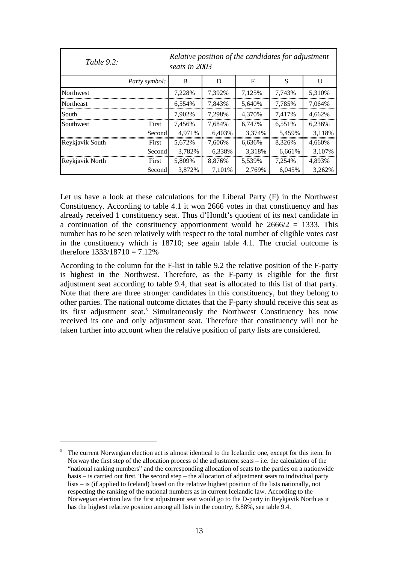| Table $9.2$ :    | Relative position of the candidates for adjustment<br>seats in 2003 |        |        |             |        |        |  |
|------------------|---------------------------------------------------------------------|--------|--------|-------------|--------|--------|--|
|                  | Party symbol:                                                       | B      | D      | $\mathbf F$ | S      | U      |  |
| <b>Northwest</b> |                                                                     | 7.228% | 7,392% | 7,125%      | 7,743% | 5,310% |  |
| <b>Northeast</b> |                                                                     | 6.554% | 7.843% | 5.640%      | 7.785% | 7.064% |  |
| South            |                                                                     | 7.902% | 7.298% | 4.370%      | 7.417% | 4.662% |  |
| Southwest        | First                                                               | 7,456% | 7.684% | 6.747%      | 6.551% | 6.236% |  |
|                  | Second                                                              | 4,971% | 6,403% | 3,374%      | 5,459% | 3,118% |  |
| Reykjavik South  | First                                                               | 5,672% | 7.606% | 6.636%      | 8.326% | 4.660% |  |
|                  | Second                                                              | 3,782% | 6,338% | 3,318%      | 6,661% | 3.107% |  |
| Reykjavik North  | First                                                               | 5,809% | 8.876% | 5.539%      | 7.254% | 4.893% |  |
|                  | Second                                                              | 3,872% | 7,101% | 2,769%      | 6.045% | 3,262% |  |

Let us have a look at these calculations for the Liberal Party (F) in the Northwest Constituency. According to table 4.1 it won 2666 votes in that constituency and has already received 1 constituency seat. Thus d'Hondt's quotient of its next candidate in a continuation of the constituency apportionment would be  $2666/2 = 1333$ . This number has to be seen relatively with respect to the total number of eligible votes cast in the constituency which is 18710; see again table 4.1. The crucial outcome is therefore  $1333/18710 = 7.12\%$ 

According to the column for the F-list in table 9.2 the relative position of the F-party is highest in the Northwest. Therefore, as the F-party is eligible for the first adjustment seat according to table 9.4, that seat is allocated to this list of that party. Note that there are three stronger candidates in this constituency, but they belong to other parties. The national outcome dictates that the F-party should receive this seat as its first adjustment seat.<sup>5</sup> Simultaneously the Northwest Constituency has now received its one and only adjustment seat. Therefore that constituency will not be taken further into account when the relative position of party lists are considered.

<sup>5</sup> The current Norwegian election act is almost identical to the Icelandic one, except for this item. In Norway the first step of the allocation process of the adjustment seats – i.e. the calculation of the "national ranking numbers" and the corresponding allocation of seats to the parties on a nationwide basis – is carried out first. The second step – the allocation of adjustment seats to individual party lists – is (if applied to Iceland) based on the relative highest position of the lists nationally, not respecting the ranking of the national numbers as in current Icelandic law. According to the Norwegian election law the first adjustment seat would go to the D-party in Reykjavik North as it has the highest relative position among all lists in the country, 8.88%, see table 9.4.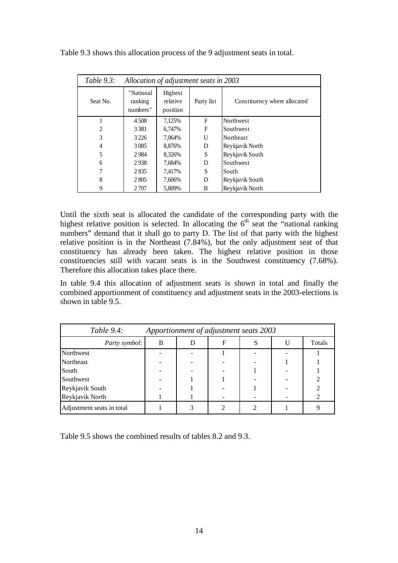| Table $9.3$ :  | Allocation of adjustment seats in 2003 |                                 |            |                              |  |  |  |  |  |
|----------------|----------------------------------------|---------------------------------|------------|------------------------------|--|--|--|--|--|
| Seat No.       | "National<br>ranking<br>numbers"       | Highest<br>relative<br>position | Party list | Constituency where allocated |  |  |  |  |  |
|                | 4508                                   | 7,125%                          | F          | Northwest                    |  |  |  |  |  |
| $\overline{c}$ | 3 3 8 1                                | 6,747%                          | F          | Southwest                    |  |  |  |  |  |
| 3              | 3 2 2 6                                | 7,064%                          | U          | Northeast                    |  |  |  |  |  |
| 4              | 3085                                   | 8,876%                          | D          | Reykjavik North              |  |  |  |  |  |
| 5              | 2984                                   | 8,326%                          | S          | Reykjavik South              |  |  |  |  |  |
| 6              | 2938                                   | 7,684%                          | D          | Southwest                    |  |  |  |  |  |
| 7              | 2835                                   | 7,417%                          | S          | South                        |  |  |  |  |  |
| 8              | 2805                                   | 7,606%                          | D          | Reykjavik South              |  |  |  |  |  |
| 9              | 2 707                                  | 5,809%                          | B          | Reykjavik North              |  |  |  |  |  |

Table 9.3 shows this allocation process of the 9 adjustment seats in total.

Until the sixth seat is allocated the candidate of the corresponding party with the highest relative position is selected. In allocating the  $6<sup>th</sup>$  seat the "national ranking" numbers" demand that it shall go to party D. The list of that party with the highest relative position is in the Northeast (7.84%), but the only adjustment seat of that constituency has already been taken. The highest relative position in those constituencies still with vacant seats is in the Southwest constituency (7.68%). Therefore this allocation takes place there.

In table 9.4 this allocation of adjustment seats is shown in total and finally the combined apportionment of constituency and adjustment seats in the 2003-elections is shown in table 9.5.

| Table $9.4$ :             |   |   | Apportionment of adjustment seats 2003 |  |        |
|---------------------------|---|---|----------------------------------------|--|--------|
| Party symbol:             | B | Ð | F                                      |  | Totals |
| Northwest                 |   |   |                                        |  |        |
| Northeast                 |   |   |                                        |  |        |
| South                     |   |   |                                        |  |        |
| Southwest                 |   |   |                                        |  |        |
| Reykjavik South           |   |   |                                        |  |        |
| Reykjavik North           |   |   |                                        |  |        |
| Adjustment seats in total |   |   |                                        |  |        |

Table 9.5 shows the combined results of tables 8.2 and 9.3.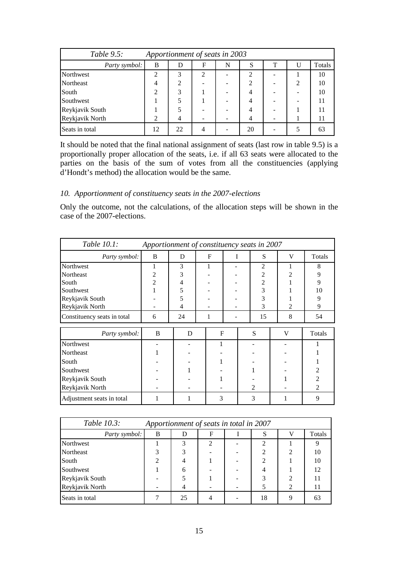| Table $9.5$ :<br>Apportionment of seats in 2003 |    |                |                |   |                          |   |   |        |
|-------------------------------------------------|----|----------------|----------------|---|--------------------------|---|---|--------|
| Party symbol:                                   | B  |                | F              | N | S                        | T |   | Totals |
| Northwest                                       | 2  | 3              | $\mathfrak{D}$ |   | $\overline{\mathcal{L}}$ |   |   | 10     |
| Northeast                                       | 4  | $\overline{2}$ |                |   | $\overline{c}$           |   | ∍ | 10     |
| South                                           | 2  | 3              |                |   |                          |   |   | 10     |
| Southwest                                       |    |                |                |   | 4                        |   |   |        |
| Reykjavik South                                 |    |                |                |   | 4                        |   |   |        |
| Reykjavik North                                 | 2  | 4              |                |   | 4                        |   |   | 11     |
| Seats in total                                  | 12 | 22             |                |   | 20                       |   |   | 63     |

It should be noted that the final national assignment of seats (last row in table 9.5) is a proportionally proper allocation of the seats, i.e. if all 63 seats were allocated to the parties on the basis of the sum of votes from all the constituencies (applying d'Hondt's method) the allocation would be the same.

#### *10. Apportionment of constituency seats in the 2007-elections*

Only the outcome, not the calculations, of the allocation steps will be shown in the case of the 2007-elections.

| Table 10.1:                 | Apportionment of constituency seats in 2007 |    |   |              |                |                |                |
|-----------------------------|---------------------------------------------|----|---|--------------|----------------|----------------|----------------|
| Party symbol:               | <sub>B</sub>                                | D  | F | I            | S              | V              | Totals         |
| Northwest                   |                                             | 3  | 1 |              | $\overline{c}$ | 1              | 8              |
| Northeast                   | $\overline{c}$                              | 3  |   |              | $\overline{2}$ | 2              | 9              |
| South                       | $\overline{2}$                              | 4  |   |              | $\overline{2}$ |                | 9              |
| Southwest                   |                                             | 5  |   |              | 3              |                | 10             |
| Reykjavik South             |                                             | 5  |   |              | 3              |                | 9              |
| Reykjavik North             |                                             | 4  |   |              | 3              | $\overline{c}$ | 9              |
| Constituency seats in total | 6                                           | 24 | 1 |              | 15             | 8              | 54             |
| Party symbol:               | B                                           | D  |   | $\mathbf{F}$ | S              | V              | Totals         |
| Northwest                   |                                             |    |   | 1            |                |                |                |
| Northeast                   |                                             |    |   |              |                |                |                |
| South                       |                                             |    |   |              |                |                |                |
| Southwest                   |                                             |    |   |              |                |                | $\overline{2}$ |
| Reykjavik South             |                                             |    |   |              |                |                | $\overline{2}$ |
| Reykjavik North             |                                             |    |   |              | $\overline{2}$ |                | $\mathfrak{D}$ |
| Adjustment seats in total   | 1                                           |    |   | 3            | 3              |                | 9              |

| Table 10.3:     | Apportionment of seats in total in 2007 |    |   |                             |   |        |
|-----------------|-----------------------------------------|----|---|-----------------------------|---|--------|
| Party symbol:   | B                                       |    | F | S                           |   | Totals |
| Northwest       |                                         |    | ∍ |                             |   |        |
| Northeast       |                                         |    |   | $\mathcal{D}$               | っ | 10     |
| South           | $\mathfrak{D}$                          |    |   | $\mathcal{D}_{\mathcal{A}}$ |   | 10     |
| Southwest       |                                         | 6  |   |                             |   | 12     |
| Reykjavik South |                                         |    |   |                             |   | 11     |
| Reykjavik North |                                         |    |   |                             | 2 | 11     |
| Seats in total  |                                         | 25 |   | 18                          |   | 63     |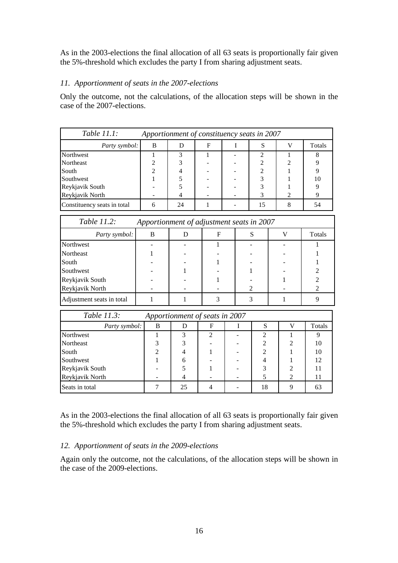As in the 2003-elections the final allocation of all 63 seats is proportionally fair given the 5%-threshold which excludes the party I from sharing adjustment seats.

#### *11. Apportionment of seats in the 2007-elections*

Only the outcome, not the calculations, of the allocation steps will be shown in the case of the 2007-elections.

| Table $11.1$ :<br>Apportionment of constituency seats in 2007 |   |    |   |  |    |                             |        |
|---------------------------------------------------------------|---|----|---|--|----|-----------------------------|--------|
| Party symbol:                                                 | B |    | F |  | S  |                             | Totals |
| Northwest                                                     |   |    |   |  |    |                             |        |
| Northeast                                                     |   |    |   |  |    | ◠                           |        |
| South                                                         |   |    |   |  |    |                             |        |
| Southwest                                                     |   |    |   |  |    |                             | 10     |
| Reykjavik South                                               |   |    |   |  |    |                             |        |
| Reykjavik North                                               |   |    |   |  |    | $\mathcal{D}_{\mathcal{A}}$ |        |
| Constituency seats in total                                   | 6 | 24 |   |  | 15 |                             | 54     |

| Table 11.2:               |   |   | Apportionment of adjustment seats in 2007 |        |
|---------------------------|---|---|-------------------------------------------|--------|
| Party symbol:             | B | F | S                                         | Totals |
| Northwest                 |   |   |                                           |        |
| Northeast                 |   |   |                                           |        |
| South                     |   |   |                                           |        |
| Southwest                 |   |   |                                           |        |
| Reykjavik South           |   |   |                                           |        |
| Reykjavik North           |   |   | $\mathfrak{D}$                            |        |
| Adjustment seats in total |   |   |                                           |        |

| Table 11.3:     |                | Apportionment of seats in 2007 |   |    |   |        |
|-----------------|----------------|--------------------------------|---|----|---|--------|
| Party symbol:   | B              | Ð                              | F |    |   | Totals |
| Northwest       |                | 3                              |   | ∍  |   |        |
| Northeast       |                |                                |   |    |   | 10     |
| South           | $\mathfrak{D}$ |                                |   |    |   | 10     |
| Southwest       |                | 6                              |   |    |   | 12     |
| Reykjavik South |                |                                |   |    | ∍ | 11     |
| Reykjavik North |                |                                |   |    |   | 11     |
| Seats in total  |                | 25                             |   | 18 |   | 63     |

As in the 2003-elections the final allocation of all 63 seats is proportionally fair given the 5%-threshold which excludes the party I from sharing adjustment seats.

#### *12. Apportionment of seats in the 2009-elections*

Again only the outcome, not the calculations, of the allocation steps will be shown in the case of the 2009-elections.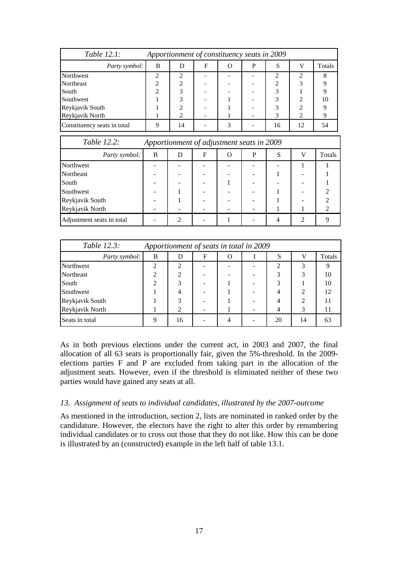| Table $12.1$ :              |   |                |   | Apportionment of constituency seats in 2009 |                             |    |        |
|-----------------------------|---|----------------|---|---------------------------------------------|-----------------------------|----|--------|
| Party symbol:               | B | D              | F | P                                           | S                           |    | Totals |
| Northwest                   | 2 | $\mathcal{L}$  |   |                                             | $\mathcal{D}_{\mathcal{L}}$ |    | 8      |
| <b>Northeast</b>            | ∍ | $\overline{c}$ |   |                                             | $\mathcal{D}$               | 3  |        |
| South                       | ↑ | 3              |   |                                             | 3                           |    |        |
| Southwest                   |   | 3              |   |                                             | 3                           | ◠  | 10     |
| Reykjavik South             |   | ↑              |   |                                             | 3                           |    |        |
| Reykjavik North             |   | ↑              |   |                                             | 3                           | ↑  |        |
| Constituency seats in total | Q | 14             |   |                                             | 16                          | 12 | 54     |

| Table 12.2:               |   |   | Apportionment of adjustment seats in 2009 |   |   |   |        |
|---------------------------|---|---|-------------------------------------------|---|---|---|--------|
| Party symbol:             | B | D | F                                         | O | P | S | Totals |
| Northwest                 |   |   |                                           |   |   |   |        |
| Northeast                 |   |   |                                           |   |   |   |        |
| South                     |   |   |                                           |   |   |   |        |
| Southwest                 |   |   |                                           |   |   |   |        |
| Reykjavik South           |   |   |                                           |   |   |   |        |
| Reykjavik North           |   |   |                                           |   |   |   |        |
| Adjustment seats in total |   |   |                                           |   |   |   |        |

| Table 12.3:     |   |                             |   | Apportionment of seats in total in 2009 |    |    |        |
|-----------------|---|-----------------------------|---|-----------------------------------------|----|----|--------|
| Party symbol:   | B | Ð                           | F |                                         | S  |    | Totals |
| Northwest       |   | $\mathcal{D}_{\mathcal{L}}$ |   |                                         | 2  | 3  |        |
| Northeast       |   | $\mathfrak{D}$              |   |                                         |    | 3  | 10     |
| South           | ◠ | 3                           |   |                                         | 3  |    | 10     |
| Southwest       |   | 4                           |   |                                         |    | っ  | 12     |
| Reykjavik South |   | 3                           |   |                                         |    | っ  |        |
| Reykjavik North |   | $\mathcal{D}_{\mathcal{L}}$ |   |                                         | 4  | 3  |        |
| Seats in total  |   | 16                          |   | 4                                       | 20 | 14 | 63     |

As in both previous elections under the current act, in 2003 and 2007, the final allocation of all 63 seats is proportionally fair, given the 5%-threshold. In the 2009 elections parties F and P are excluded from taking part in the allocation of the adjustment seats. However, even if the threshold is eliminated neither of these two parties would have gained any seats at all.

#### *13. Assignment of seats to individual candidates, illustrated by the 2007-outcome*

As mentioned in the introduction, section 2, lists are nominated in ranked order by the candidature. However, the electors have the right to alter this order by renumbering individual candidates or to cross out those that they do not like. How this can be done is illustrated by an (constructed) example in the left half of table 13.1.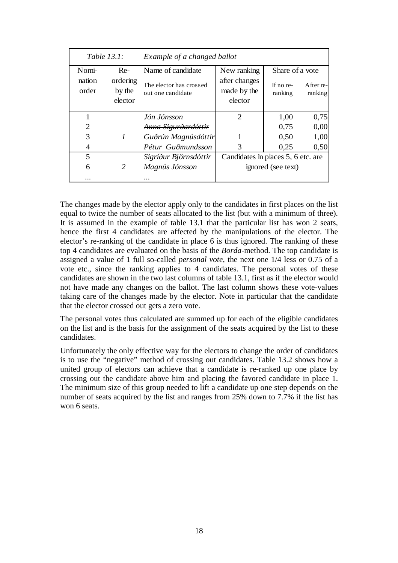| Table $13.1$ :  |                               | Example of a changed ballot                  |                                         |                      |                      |  |  |  |  |
|-----------------|-------------------------------|----------------------------------------------|-----------------------------------------|----------------------|----------------------|--|--|--|--|
| Nomi-           | Re-                           | Name of candidate                            | New ranking                             | Share of a vote      |                      |  |  |  |  |
| nation<br>order | ordering<br>by the<br>elector | The elector has crossed<br>out one candidate | after changes<br>made by the<br>elector | If no re-<br>ranking | After re-<br>ranking |  |  |  |  |
|                 |                               | Jón Jónsson                                  | $\mathcal{D}_{\mathcal{L}}$             | 1,00                 | 0,75                 |  |  |  |  |
| $\overline{2}$  |                               | <del>Anna Sigurðardóttir</del>               |                                         | 0,75                 | 0,00                 |  |  |  |  |
| 3               | $\mathcal{I}$                 | Guðrún Magnúsdóttir                          |                                         | 0.50                 | 1,00                 |  |  |  |  |
|                 |                               | Pétur Guðmundsson                            | 3                                       | 0.25                 | 0,50                 |  |  |  |  |
| 5               |                               | Sigríður Björnsdóttir                        | Candidates in places 5, 6 etc. are      |                      |                      |  |  |  |  |
| 6               | 2                             | Magnús Jónsson                               |                                         | ignored (see text)   |                      |  |  |  |  |
|                 |                               |                                              |                                         |                      |                      |  |  |  |  |

The changes made by the elector apply only to the candidates in first places on the list equal to twice the number of seats allocated to the list (but with a minimum of three). It is assumed in the example of table 13.1 that the particular list has won 2 seats, hence the first 4 candidates are affected by the manipulations of the elector. The elector's re-ranking of the candidate in place 6 is thus ignored. The ranking of these top 4 candidates are evaluated on the basis of the *Borda-*method. The top candidate is assigned a value of 1 full so-called *personal vote*, the next one 1/4 less or 0.75 of a vote etc., since the ranking applies to 4 candidates. The personal votes of these candidates are shown in the two last columns of table 13.1, first as if the elector would not have made any changes on the ballot. The last column shows these vote-values taking care of the changes made by the elector. Note in particular that the candidate that the elector crossed out gets a zero vote.

The personal votes thus calculated are summed up for each of the eligible candidates on the list and is the basis for the assignment of the seats acquired by the list to these candidates.

Unfortunately the only effective way for the electors to change the order of candidates is to use the "negative" method of crossing out candidates. Table 13.2 shows how a united group of electors can achieve that a candidate is re-ranked up one place by crossing out the candidate above him and placing the favored candidate in place 1. The minimum size of this group needed to lift a candidate up one step depends on the number of seats acquired by the list and ranges from 25% down to 7.7% if the list has won 6 seats.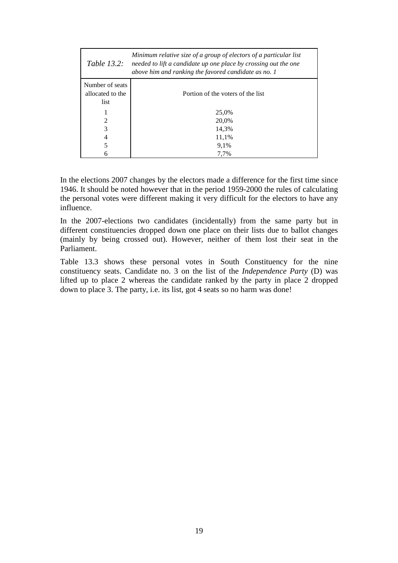| <i>Table 13.2:</i> | Minimum relative size of a group of electors of a particular list<br>needed to lift a candidate up one place by crossing out the one<br>above him and ranking the favored candidate as no. 1 |  |  |  |  |  |  |
|--------------------|----------------------------------------------------------------------------------------------------------------------------------------------------------------------------------------------|--|--|--|--|--|--|
| Number of seats    |                                                                                                                                                                                              |  |  |  |  |  |  |
| allocated to the   | Portion of the voters of the list                                                                                                                                                            |  |  |  |  |  |  |
| list               |                                                                                                                                                                                              |  |  |  |  |  |  |
|                    | 25,0%                                                                                                                                                                                        |  |  |  |  |  |  |
| 2                  | 20.0%                                                                                                                                                                                        |  |  |  |  |  |  |
| 3                  | 14.3%                                                                                                                                                                                        |  |  |  |  |  |  |
| 4                  | 11.1%                                                                                                                                                                                        |  |  |  |  |  |  |
|                    | 9,1%                                                                                                                                                                                         |  |  |  |  |  |  |
|                    | 7.7%                                                                                                                                                                                         |  |  |  |  |  |  |

In the elections 2007 changes by the electors made a difference for the first time since 1946. It should be noted however that in the period 1959-2000 the rules of calculating the personal votes were different making it very difficult for the electors to have any influence.

In the 2007-elections two candidates (incidentally) from the same party but in different constituencies dropped down one place on their lists due to ballot changes (mainly by being crossed out). However, neither of them lost their seat in the Parliament.

Table 13.3 shows these personal votes in South Constituency for the nine constituency seats. Candidate no. 3 on the list of the *Independence Party* (D) was lifted up to place 2 whereas the candidate ranked by the party in place 2 dropped down to place 3. The party, i.e. its list, got 4 seats so no harm was done!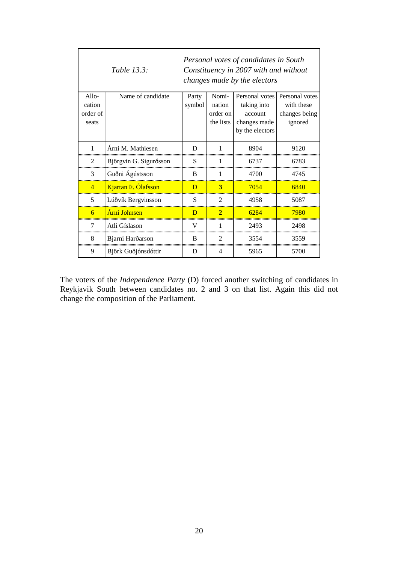| Personal votes of candidates in South<br>Table 13.3:<br>Constituency in 2007 with and without<br>changes made by the electors |                        |                |                    |                        |                             |
|-------------------------------------------------------------------------------------------------------------------------------|------------------------|----------------|--------------------|------------------------|-----------------------------|
| $Allo-$                                                                                                                       | Name of candidate      | Party          | Nomi-              | Personal votes         | Personal votes              |
| cation<br>order of                                                                                                            |                        | symbol         | nation<br>order on | taking into<br>account | with these<br>changes being |
| seats                                                                                                                         |                        |                | the lists          | changes made           | ignored                     |
|                                                                                                                               |                        |                |                    | by the electors        |                             |
| 1                                                                                                                             | Árni M. Mathiesen      | D              |                    | 8904                   | 9120                        |
| 2                                                                                                                             | Björgvin G. Sigurðsson | S              | 1                  | 6737                   | 6783                        |
| 3                                                                                                                             | Guðni Ágústsson        | B              | 1                  | 4700                   | 4745                        |
| $\overline{4}$                                                                                                                | Kjartan Þ. Ólafsson    | D              | 3                  | 7054                   | 6840                        |
| 5                                                                                                                             | Lúðvík Bergvinsson     | S              | $\overline{2}$     | 4958                   | 5087                        |
| $\overline{6}$                                                                                                                | Árni Johnsen           | $\overline{D}$ | $\overline{2}$     | 6284                   | 7980                        |
| 7                                                                                                                             | Atli Gíslason          | V              | 1                  | 2493                   | 2498                        |
| 8                                                                                                                             | Bjarni Harðarson       | B              | $\overline{2}$     | 3554                   | 3559                        |
| 9                                                                                                                             | Björk Guðjónsdóttir    | D              | $\overline{4}$     | 5965                   | 5700                        |

The voters of the *Independence Party* (D) forced another switching of candidates in Reykjavik South between candidates no. 2 and 3 on that list. Again this did not change the composition of the Parliament.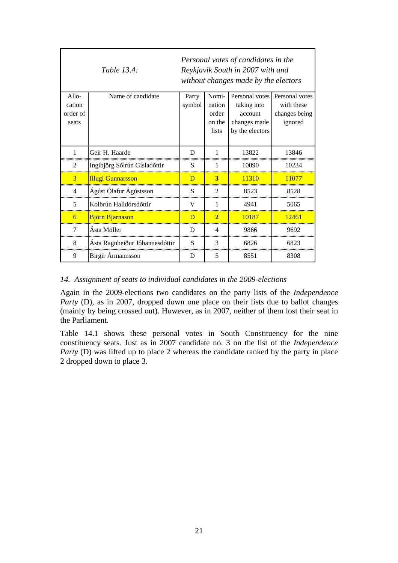|                   | Table 13.4:                    |                 |                 | Personal votes of candidates in the<br>Reykjavik South in 2007 with and<br>without changes made by the electors |                              |
|-------------------|--------------------------------|-----------------|-----------------|-----------------------------------------------------------------------------------------------------------------|------------------------------|
| $Allo-$<br>cation | Name of candidate              | Party<br>symbol | Nomi-<br>nation | Personal votes<br>taking into                                                                                   | Personal votes<br>with these |
| order of          |                                |                 | order           | account                                                                                                         | changes being                |
| seats             |                                |                 | on the<br>lists | changes made<br>by the electors                                                                                 | ignored                      |
|                   |                                |                 |                 |                                                                                                                 |                              |
| 1                 | Geir H. Haarde                 | D               | 1               | 13822                                                                                                           | 13846                        |
| 2                 | Ingibjörg Sólrún Gísladóttir   | S               | 1               | 10090                                                                                                           | 10234                        |
| 3                 | <b>Illugi Gunnarsson</b>       | $\overline{D}$  | 3               | 11310                                                                                                           | 11077                        |
| 4                 | Ágúst Ólafur Ágústsson         | S               | $\mathfrak{D}$  | 8523                                                                                                            | 8528                         |
| 5                 | Kolbrún Halldórsdóttir         | $\mathbf{V}$    | 1               | 4941                                                                                                            | 5065                         |
| 6                 | <b>Björn Bjarnason</b>         | $\overline{D}$  | $\overline{2}$  | 10187                                                                                                           | 12461                        |
| 7                 | Ásta Möller                    | D               | 4               | 9866                                                                                                            | 9692                         |
| 8                 | Ásta Ragnheiður Jóhannesdóttir | S               | 3               | 6826                                                                                                            | 6823                         |
| 9                 | <b>Birgir Armannsson</b>       | D               | 5               | 8551                                                                                                            | 8308                         |

#### *14. Assignment of seats to individual candidates in the 2009-elections*

Again in the 2009-elections two candidates on the party lists of the *Independence Party* (D), as in 2007, dropped down one place on their lists due to ballot changes (mainly by being crossed out). However, as in 2007, neither of them lost their seat in the Parliament.

Table 14.1 shows these personal votes in South Constituency for the nine constituency seats. Just as in 2007 candidate no. 3 on the list of the *Independence Party* (D) was lifted up to place 2 whereas the candidate ranked by the party in place 2 dropped down to place 3.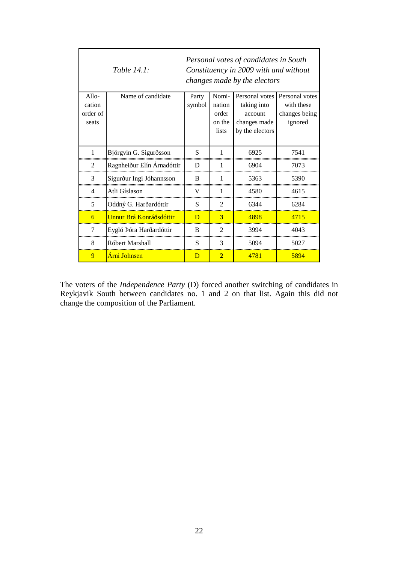| Personal votes of candidates in South<br><i>Table 14.1:</i><br>Constituency in 2009 with and without<br>changes made by the electors |                            |                |                 |                        |                             |  |
|--------------------------------------------------------------------------------------------------------------------------------------|----------------------------|----------------|-----------------|------------------------|-----------------------------|--|
| $Allo-$                                                                                                                              | Name of candidate          | Party          | Nomi-           | Personal votes         | Personal votes              |  |
| cation<br>order of                                                                                                                   |                            | symbol         | nation<br>order | taking into<br>account | with these<br>changes being |  |
| seats                                                                                                                                |                            |                | on the          | changes made           | ignored                     |  |
|                                                                                                                                      |                            |                | lists           | by the electors        |                             |  |
|                                                                                                                                      |                            |                |                 |                        |                             |  |
| $\mathbf{1}$                                                                                                                         | Björgvin G. Sigurðsson     | S              | 1               | 6925                   | 7541                        |  |
| $\overline{2}$                                                                                                                       | Ragnheiður Elín Árnadóttir | D              | 1               | 6904                   | 7073                        |  |
| 3                                                                                                                                    | Sigurður Ingi Jóhannsson   | B              | 1               | 5363                   | 5390                        |  |
| $\overline{4}$                                                                                                                       | Atli Gíslason              | V              | 1               | 4580                   | 4615                        |  |
| 5                                                                                                                                    | Oddný G. Harðardóttir      | S              | 2               | 6344                   | 6284                        |  |
| 6                                                                                                                                    | Unnur Brá Konráðsdóttir    | $\overline{D}$ | 3               | 4898                   | 4715                        |  |
| 7                                                                                                                                    | Eygló Þóra Harðardóttir    | B              | $\overline{2}$  | 3994                   | 4043                        |  |
| 8                                                                                                                                    | Róbert Marshall            | S              | 3               | 5094                   | 5027                        |  |
| 9                                                                                                                                    | Árni Johnsen               | D              | $\overline{2}$  | 4781                   | 5894                        |  |

The voters of the *Independence Party* (D) forced another switching of candidates in Reykjavik South between candidates no. 1 and 2 on that list. Again this did not change the composition of the Parliament.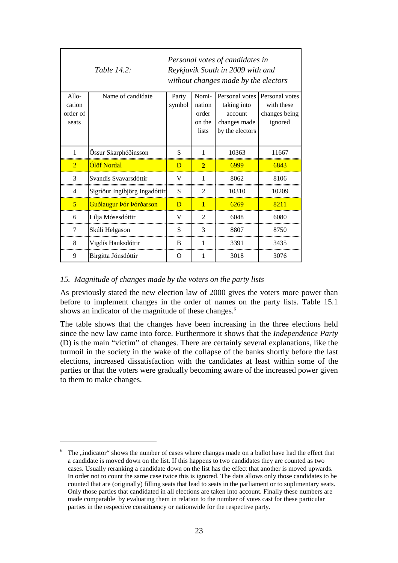|                                        | Table 14.2:                   |                 |                                             | Personal votes of candidates in<br>Reykjavik South in 2009 with and<br>without changes made by the electors |                                                          |
|----------------------------------------|-------------------------------|-----------------|---------------------------------------------|-------------------------------------------------------------------------------------------------------------|----------------------------------------------------------|
| $Allo-$<br>cation<br>order of<br>seats | Name of candidate             | Party<br>symbol | Nomi-<br>nation<br>order<br>on the<br>lists | Personal votes<br>taking into<br>account<br>changes made<br>by the electors                                 | Personal votes<br>with these<br>changes being<br>ignored |
| 1                                      | Össur Skarphéðinsson          | S               | 1                                           | 10363                                                                                                       | 11667                                                    |
| $\overline{2}$                         | Ólöf Nordal                   | D               | $\overline{2}$                              | 6999                                                                                                        | 6843                                                     |
| 3                                      | Svandís Svavarsdóttir         | $\mathbf V$     | 1                                           | 8062                                                                                                        | 8106                                                     |
| $\overline{4}$                         | Sigríður Ingibjörg Ingadóttir | S               | 2                                           | 10310                                                                                                       | 10209                                                    |
| 5                                      | Guðlaugur Þór Þórðarson       | $\overline{D}$  | $\mathbf{1}$                                | 6269                                                                                                        | 8211                                                     |
| 6                                      | Lilja Mósesdóttir             | V               | 2                                           | 6048                                                                                                        | 6080                                                     |
| 7                                      | Skúli Helgason                | S               | 3                                           | 8807                                                                                                        | 8750                                                     |
| 8                                      | Vigdís Hauksdóttir            | B               | 1                                           | 3391                                                                                                        | 3435                                                     |
| 9                                      | Birgitta Jónsdóttir           | O               | 1                                           | 3018                                                                                                        | 3076                                                     |

#### *15. Magnitude of changes made by the voters on the party lists*

 $\overline{a}$ 

As previously stated the new election law of 2000 gives the voters more power than before to implement changes in the order of names on the party lists. Table 15.1 shows an indicator of the magnitude of these changes.<sup>6</sup>

The table shows that the changes have been increasing in the three elections held since the new law came into force. Furthermore it shows that the *Independence Party* (D) is the main "victim" of changes. There are certainly several explanations, like the turmoil in the society in the wake of the collapse of the banks shortly before the last elections, increased dissatisfaction with the candidates at least within some of the parties or that the voters were gradually becoming aware of the increased power given to them to make changes.

<sup>6</sup> The "indicator" shows the number of cases where changes made on a ballot have had the effect that a candidate is moved down on the list. If this happens to two candidates they are counted as two cases. Usually reranking a candidate down on the list has the effect that another is moved upwards. In order not to count the same case twice this is ignored. The data allows only those candidates to be counted that are (originally) filling seats that lead to seats in the parliament or to suplimentary seats. Only those parties that candidated in all elections are taken into account. Finally these numbers are made comparable by evaluating them in relation to the number of votes cast for these particular parties in the respective constituency or nationwide for the respective party.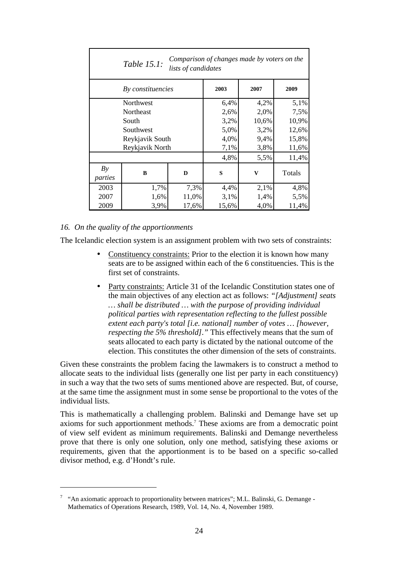| Comparison of changes made by voters on the<br>Table 15.1:<br>lists of candidates |                  |       |       |       |        |  |  |  |
|-----------------------------------------------------------------------------------|------------------|-------|-------|-------|--------|--|--|--|
| By constituencies                                                                 |                  |       | 2003  | 2007  | 2009   |  |  |  |
|                                                                                   | Northwest        |       | 6,4%  | 4,2%  | 5,1%   |  |  |  |
|                                                                                   | <b>Northeast</b> |       | 2,6%  | 2,0%  | 7,5%   |  |  |  |
|                                                                                   | South            |       | 3,2%  | 10,6% | 10,9%  |  |  |  |
|                                                                                   | Southwest        |       | 5,0%  | 3,2%  | 12,6%  |  |  |  |
|                                                                                   | Reykjavik South  |       | 4,0%  | 9,4%  | 15,8%  |  |  |  |
|                                                                                   | Reykjavik North  |       | 7,1%  | 3,8%  | 11,6%  |  |  |  |
|                                                                                   |                  |       | 4,8%  | 5,5%  | 11,4%  |  |  |  |
| By                                                                                | B                | D     | S     | V     | Totals |  |  |  |
| parties                                                                           |                  |       |       |       |        |  |  |  |
| 2003                                                                              | 1,7%             | 7,3%  | 4,4%  | 2,1%  | 4,8%   |  |  |  |
| 2007                                                                              | 1,6%             | 11,0% | 3,1%  | 1,4%  | 5,5%   |  |  |  |
| 2009                                                                              | 3,9%             | 17,6% | 15,6% | 4,0%  | 11,4%  |  |  |  |

#### *16. On the quality of the apportionments*

 $\overline{a}$ 

The Icelandic election system is an assignment problem with two sets of constraints:

- Constituency constraints: Prior to the election it is known how many seats are to be assigned within each of the 6 constituencies. This is the first set of constraints.
- Party constraints: Article 31 of the Icelandic Constitution states one of the main objectives of any election act as follows: *"[Adjustment] seats … shall be distributed … with the purpose of providing individual political parties with representation reflecting to the fullest possible extent each party's total [i.e. national] number of votes … [however, respecting the 5% threshold]."* This effectively means that the sum of seats allocated to each party is dictated by the national outcome of the election. This constitutes the other dimension of the sets of constraints.

Given these constraints the problem facing the lawmakers is to construct a method to allocate seats to the individual lists (generally one list per party in each constituency) in such a way that the two sets of sums mentioned above are respected. But, of course, at the same time the assignment must in some sense be proportional to the votes of the individual lists.

This is mathematically a challenging problem. Balinski and Demange have set up axioms for such apportionment methods.<sup>7</sup> These axioms are from a democratic point of view self evident as minimum requirements. Balinski and Demange nevertheless prove that there is only one solution, only one method, satisfying these axioms or requirements, given that the apportionment is to be based on a specific so-called divisor method, e.g. d'Hondt's rule.

 $7$  "An axiomatic approach to proportionality between matrices"; M.L. Balinski, G. Demange -Mathematics of Operations Research, 1989, Vol. 14, No. 4, November 1989.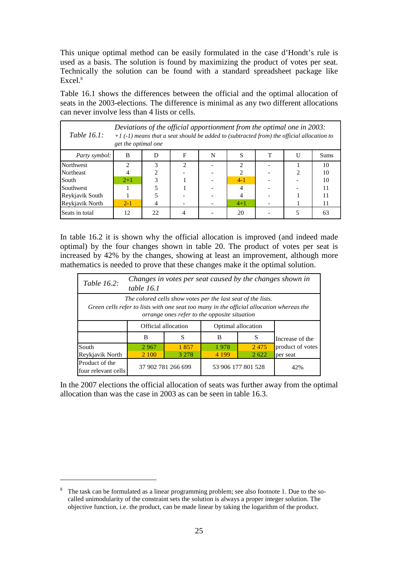This unique optimal method can be easily formulated in the case d'Hondt's rule is used as a basis. The solution is found by maximizing the product of votes per seat. Technically the solution can be found with a standard spreadsheet package like Excel.<sup>8</sup>

Table 16.1 shows the differences between the official and the optimal allocation of seats in the 2003-elections. The difference is minimal as any two different allocations can never involve less than 4 lists or cells.

| Table $16.1$ :   | Deviations of the official apportionment from the optimal one in $2003$ :<br>$+1$ (-1) means that a seat should be added to (subtracted from) the official allocation to<br>get the optimal one |     |   |   |                |   |  |             |
|------------------|-------------------------------------------------------------------------------------------------------------------------------------------------------------------------------------------------|-----|---|---|----------------|---|--|-------------|
| Party symbol:    | B                                                                                                                                                                                               | I)  | F | N |                | т |  | <b>Sums</b> |
| Northwest        |                                                                                                                                                                                                 |     | ↑ |   | ◠              |   |  | 10          |
| <b>Northeast</b> |                                                                                                                                                                                                 |     |   |   | $\mathfrak{D}$ |   |  | 10          |
| South            | $2+1$                                                                                                                                                                                           |     |   |   | $4-1$          |   |  | 10          |
| Southwest        |                                                                                                                                                                                                 |     |   |   | 4              |   |  | 11          |
| Reykjavik South  |                                                                                                                                                                                                 |     |   |   |                |   |  | 11          |
| Reykjavik North  | $2 - 1$                                                                                                                                                                                         |     |   |   | $4 + 1$        |   |  | 11          |
| Seats in total   | 12                                                                                                                                                                                              | 22. |   |   | 20             |   |  | 63          |

In table 16.2 it is shown why the official allocation is improved (and indeed made optimal) by the four changes shown in table 20. The product of votes per seat is increased by 42% by the changes, showing at least an improvement, although more mathematics is needed to prove that these changes make it the optimal solution.

| Changes in votes per seat caused by the changes shown in<br><i>Table 16.2:</i><br>table 16.1                                                                                                             |                                                  |                     |                    |      |                  |  |  |  |
|----------------------------------------------------------------------------------------------------------------------------------------------------------------------------------------------------------|--------------------------------------------------|---------------------|--------------------|------|------------------|--|--|--|
| The colored cells show votes per the last seat of the lists.<br>Green cells refer to lists with one seat too many in the official allocation whereas the<br>orrange ones refer to the opposite situation |                                                  |                     |                    |      |                  |  |  |  |
|                                                                                                                                                                                                          |                                                  | Official allocation | Optimal allocation |      |                  |  |  |  |
|                                                                                                                                                                                                          | B                                                | S                   | B                  | S    | Increase of the  |  |  |  |
| South                                                                                                                                                                                                    | 2967                                             | 1857                | 1978               | 2475 | product of votes |  |  |  |
| Reykjavik North                                                                                                                                                                                          | 2 100<br>3 2 7 8<br>4 1 9 9<br>2.622<br>per seat |                     |                    |      |                  |  |  |  |
| Product of the<br>four relevant cells                                                                                                                                                                    |                                                  | 37 902 781 266 699  | 53 906 177 801 528 | 42%  |                  |  |  |  |

In the 2007 elections the official allocation of seats was further away from the optimal allocation than was the case in 2003 as can be seen in table 16.3.

 $8<sup>8</sup>$  The task can be formulated as a linear programming problem; see also footnote 1. Due to the socalled unimodularity of the constraint sets the solution is always a proper integer solution. The objective function, i.e. the product, can be made linear by taking the logarithm of the product.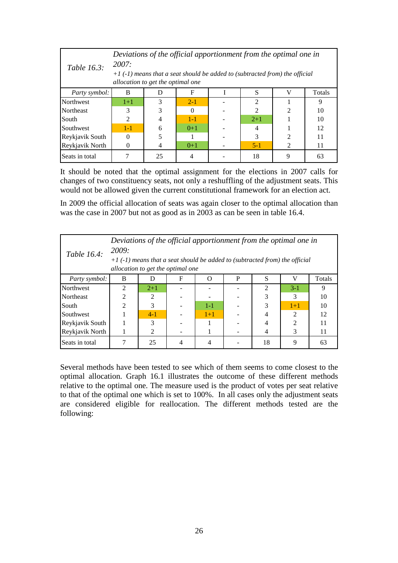| Table 16.3:      | Deviations of the official apportionment from the optimal one in<br>2007:<br>$+1$ (-1) means that a seat should be added to (subtracted from) the official<br>allocation to get the optimal one |                  |          |  |                |                             |    |  |  |  |
|------------------|-------------------------------------------------------------------------------------------------------------------------------------------------------------------------------------------------|------------------|----------|--|----------------|-----------------------------|----|--|--|--|
| Party symbol:    | B                                                                                                                                                                                               | S<br>Totals<br>F |          |  |                |                             |    |  |  |  |
| Northwest        | $1+1$                                                                                                                                                                                           | 3                | $2 - 1$  |  | $\mathfrak{D}$ |                             | 9  |  |  |  |
| <b>Northeast</b> | 3                                                                                                                                                                                               | 3                | $\Omega$ |  | $\mathfrak{D}$ | $\mathfrak{D}$              | 10 |  |  |  |
| South            | $\overline{2}$                                                                                                                                                                                  | $\overline{4}$   | $1 - 1$  |  | $2+1$          |                             | 10 |  |  |  |
| Southwest        | $1 - 1$                                                                                                                                                                                         | 6                | $0+1$    |  | $\overline{4}$ |                             | 12 |  |  |  |
| Reykjavik South  | 0                                                                                                                                                                                               |                  |          |  | $\mathcal{R}$  | っ                           | 11 |  |  |  |
| Reykjavik North  |                                                                                                                                                                                                 | $\overline{4}$   | $0+1$    |  | $5 - 1$        | $\mathcal{D}_{\mathcal{L}}$ | 11 |  |  |  |
| Seats in total   |                                                                                                                                                                                                 | 25               |          |  | 18             | 9                           | 63 |  |  |  |

It should be noted that the optimal assignment for the elections in 2007 calls for changes of two constituency seats, not only a reshuffling of the adjustment seats. This would not be allowed given the current constitutional framework for an election act.

In 2009 the official allocation of seats was again closer to the optimal allocation than was the case in 2007 but not as good as in 2003 as can be seen in table 16.4.

| Table 16.4:      | Deviations of the official apportionment from the optimal one in<br>2009:<br>$+1$ (-1) means that a seat should be added to (subtracted from) the official<br>allocation to get the optimal one |                |   |         |   |                             |                             |        |
|------------------|-------------------------------------------------------------------------------------------------------------------------------------------------------------------------------------------------|----------------|---|---------|---|-----------------------------|-----------------------------|--------|
| Party symbol:    | B                                                                                                                                                                                               |                | F |         | P | S                           |                             | Totals |
| <b>Northwest</b> | $\mathfrak{D}$                                                                                                                                                                                  | $2+1$          |   |         |   | $\mathcal{D}_{\mathcal{L}}$ | $3-1$                       | 9      |
| <b>Northeast</b> | $\mathcal{D}_{\mathcal{L}}$                                                                                                                                                                     | $\overline{2}$ |   |         |   | 3                           | 3                           | 10     |
| South            | $\mathfrak{D}$                                                                                                                                                                                  | 3              |   | $1 - 1$ |   | 3                           | $1 + 1$                     | 10     |
| Southwest        |                                                                                                                                                                                                 | $4-1$          |   | $1+1$   |   |                             | $\mathcal{D}_{\mathcal{L}}$ | 12     |
| Reykjavik South  |                                                                                                                                                                                                 | $\mathcal{F}$  |   |         |   |                             | 2                           | 11     |
| Reykjavik North  |                                                                                                                                                                                                 | $\mathfrak{D}$ |   |         |   | 4                           | 3                           | 11     |
| Seats in total   |                                                                                                                                                                                                 | 25             | 4 | 4       |   | 18                          | 9                           | 63     |

Several methods have been tested to see which of them seems to come closest to the optimal allocation. Graph 16.1 illustrates the outcome of these different methods relative to the optimal one. The measure used is the product of votes per seat relative to that of the optimal one which is set to 100%. In all cases only the adjustment seats are considered eligible for reallocation. The different methods tested are the following: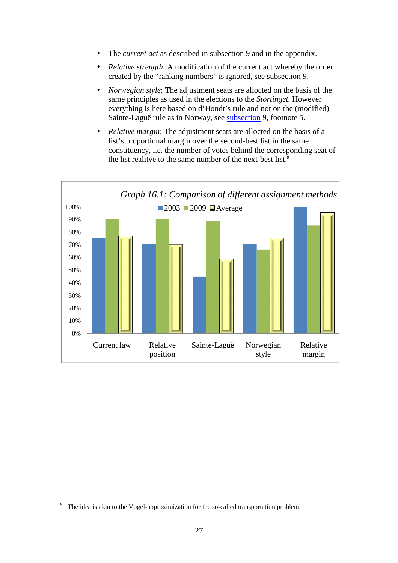- The *current act* as described in subsection 9 and in the appendix.
- *Relative strength* : A modification of the current act whereby the order created by the "ranking numbers" is ignored, see subsection 9.
- *Norwegian style*: The adjustment seats are allocted on the basis of the same principles as used in the elections to the *Stortinget Stortinget.* However everything is here based on d'Hondt's rule and not on the (modified) Sainte-Laguë rule as in Norway, see **subsection** 9, footnote 5.
- *Relative margin* : The adjustment seats are allocted on the basis of a list's proportional margin over the second-best list in the same constituency, i.e. the number of votes behind the corresponding seat of the list realitve to the same number of the next-best list.<sup>9</sup>



<sup>9</sup> The idea is akin to the Vogel-approximization for the so-called transportation problem.

 $\overline{a}$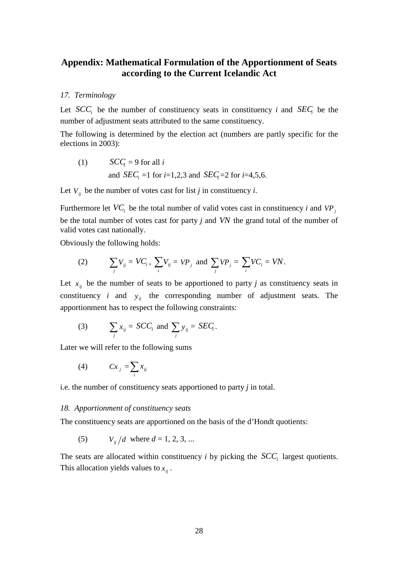### **Appendix: Mathematical Formulation of the Apportionment of Seats according to the Current Icelandic Act**

#### *17. Terminology*

Let  $SCC<sub>i</sub>$  be the number of constituency seats in constituency *i* and  $SEC<sub>i</sub>$  be the number of adjustment seats attributed to the same constituency.

The following is determined by the election act (numbers are partly specific for the elections in 2003):

(1) 
$$
SCC_i = 9
$$
 for all *i*  
and  $SEC_i = 1$  for *i*=1,2,3 and  $SEC_i = 2$  for *i*=4,5,6.

Let  $V_{ij}$  be the number of votes cast for list *j* in constituency *i*.

Furthermore let  $VC_i$  be the total number of valid votes cast in constituency *i* and  $VP_j$ be the total number of votes cast for party *j* and *VN* the grand total of the number of valid votes cast nationally.

Obviously the following holds:

(2) 
$$
\sum_j V_{ij} = VC_i, \sum_i V_{ij} = VP_j \text{ and } \sum_j VP_j = \sum_i VC_i = VN.
$$

Let  $x_{ij}$  be the number of seats to be apportioned to party *j* as constituency seats in constituency *i* and  $y_{ij}$  the corresponding number of adjustment seats. The apportionment has to respect the following constraints:

(3) 
$$
\sum_j x_{ij} = SCC_i \text{ and } \sum_j y_{ij} = SEC_i.
$$

Later we will refer to the following sums

$$
(4) \hspace{1cm} Cx_j = \sum_i x_{ij}
$$

i.e. the number of constituency seats apportioned to party *j* in total.

#### *18. Apportionment of constituency seats*

The constituency seats are apportioned on the basis of the d'Hondt quotients:

(5) 
$$
V_{ij}/d
$$
 where  $d = 1, 2, 3, ...$ 

The seats are allocated within constituency  $i$  by picking the  $SCC<sub>i</sub>$  largest quotients. This allocation yields values to  $x_{ii}$ .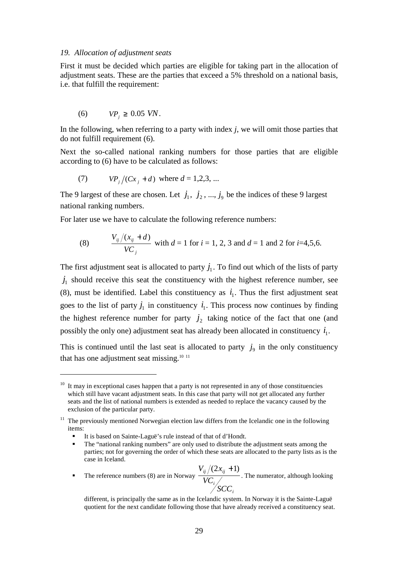#### *19. Allocation of adjustment seats*

First it must be decided which parties are eligible for taking part in the allocation of adjustment seats. These are the parties that exceed a 5% threshold on a national basis, i.e. that fulfill the requirement:

$$
(6) \tVPj \geq 0.05 \tVN.
$$

 $\overline{a}$ 

In the following, when referring to a party with index *j*, we will omit those parties that do not fulfill requirement (6).

Next the so-called national ranking numbers for those parties that are eligible according to (6) have to be calculated as follows:

(7) 
$$
VP_j/(Cx_j + d)
$$
 where  $d = 1,2,3,...$ 

The 9 largest of these are chosen. Let  $j_1, j_2, ..., j_9$  be the indices of these 9 largest national ranking numbers.

For later use we have to calculate the following reference numbers:

(8) 
$$
\frac{V_{ij}/(x_{ij} + d)}{VC_j}
$$
 with  $d = 1$  for  $i = 1, 2, 3$  and  $d = 1$  and 2 for  $i = 4, 5, 6$ .

The first adjustment seat is allocated to party  $j_1$ . To find out which of the lists of party  $j_1$  should receive this seat the constituency with the highest reference number, see (8), must be identified. Label this constituency as  $i_1$ . Thus the first adjustment seat goes to the list of party  $j_1$  in constituency  $i_1$ . This process now continues by finding the highest reference number for party  $j_2$  taking notice of the fact that one (and possibly the only one) adjustment seat has already been allocated in constituency  $i_1$ .

This is continued until the last seat is allocated to party  $j_9$  in the only constituency that has one adjustment seat missing. $10^{-11}$ 

- The "national ranking numbers" are only used to distribute the adjustment seats among the parties; not for governing the order of which these seats are allocated to the party lists as is the case in Iceland.
- The reference numbers (8) are in Norway *i i ij ij SCC VC*  $V_{ii}$   $(2x_{ii} + 1)$ . The numerator, although looking

 $10$  It may in exceptional cases happen that a party is not represented in any of those constituencies which still have vacant adjustment seats. In this case that party will not get allocated any further seats and the list of national numbers is extended as needed to replace the vacancy caused by the exclusion of the particular party.

<sup>&</sup>lt;sup>11</sup> The previously mentioned Norwegian election law differs from the Icelandic one in the following items:

<sup>■</sup> It is based on Sainte-Laguë's rule instead of that of d'Hondt.<br>■ The "national ranking numbers" are only used to distribute the

different, is principally the same as in the Icelandic system. In Norway it is the Sainte-Laguë quotient for the next candidate following those that have already received a constituency seat.